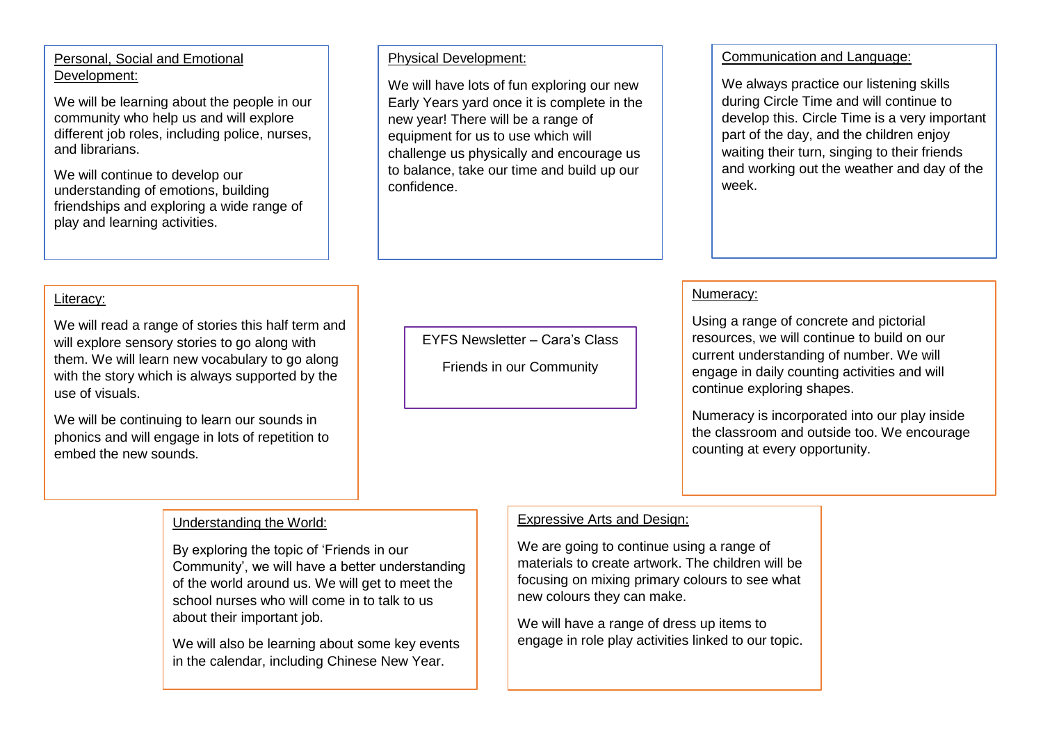# Personal, Social and Emotional Development:

We will be learning about the people in our community who help us and will explore different job roles, including police, nurses, and librarians.

We will continue to develop our understanding of emotions, building friendships and exploring a wide range of play and learning activities.

#### Physical Development:

We will have lots of fun exploring our new Early Years yard once it is complete in the new year! There will be a range of equipment for us to use which will challenge us physically and encourage us to balance, take our time and build up our confidence.

## Communication and Language:

We always practice our listening skills during Circle Time and will continue to develop this. Circle Time is a very important part of the day, and the children enjoy waiting their turn, singing to their friends and working out the weather and day of the week.

# Literacy:

We will read a range of stories this half term and will explore sensory stories to go along with them. We will learn new vocabulary to go along with the story which is always supported by the use of visuals.

We will be continuing to learn our sounds in phonics and will engage in lots of repetition to embed the new sounds.

EYFS Newsletter – Cara's Class

Friends in our Community

## Numeracy:

Using a range of concrete and pictorial resources, we will continue to build on our current understanding of number. We will engage in daily counting activities and will continue exploring shapes.

Numeracy is incorporated into our play inside the classroom and outside too. We encourage counting at every opportunity.

## Understanding the World:

By exploring the topic of 'Friends in our Community', we will have a better understanding of the world around us. We will get to meet the school nurses who will come in to talk to us about their important job.

We will also be learning about some key events in the calendar, including Chinese New Year.

## Expressive Arts and Design:

We are going to continue using a range of materials to create artwork. The children will be focusing on mixing primary colours to see what new colours they can make.

We will have a range of dress up items to engage in role play activities linked to our topic.